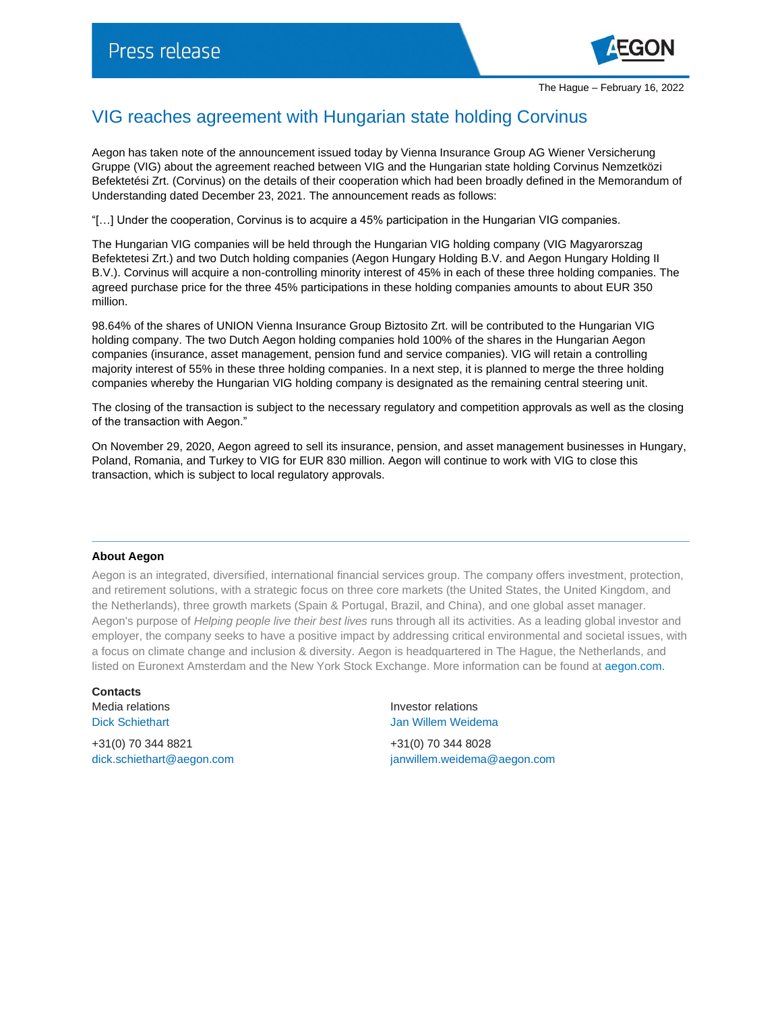

## VIG reaches agreement with Hungarian state holding Corvinus

Aegon has taken note of the announcement issued today by Vienna Insurance Group AG Wiener Versicherung Gruppe (VIG) about the agreement reached between VIG and the Hungarian state holding Corvinus Nemzetközi Befektetési Zrt. (Corvinus) on the details of their cooperation which had been broadly defined in the Memorandum of Understanding dated December 23, 2021. The announcement reads as follows:

"[…] Under the cooperation, Corvinus is to acquire a 45% participation in the Hungarian VIG companies.

The Hungarian VIG companies will be held through the Hungarian VIG holding company (VIG Magyarorszag Befektetesi Zrt.) and two Dutch holding companies (Aegon Hungary Holding B.V. and Aegon Hungary Holding II B.V.). Corvinus will acquire a non-controlling minority interest of 45% in each of these three holding companies. The agreed purchase price for the three 45% participations in these holding companies amounts to about EUR 350 million.

98.64% of the shares of UNION Vienna Insurance Group Biztosito Zrt. will be contributed to the Hungarian VIG holding company. The two Dutch Aegon holding companies hold 100% of the shares in the Hungarian Aegon companies (insurance, asset management, pension fund and service companies). VIG will retain a controlling majority interest of 55% in these three holding companies. In a next step, it is planned to merge the three holding companies whereby the Hungarian VIG holding company is designated as the remaining central steering unit.

The closing of the transaction is subject to the necessary regulatory and competition approvals as well as the closing of the transaction with Aegon."

On November 29, 2020, Aegon agreed to sell its insurance, pension, and asset management businesses in Hungary, Poland, Romania, and Turkey to VIG for EUR 830 million. Aegon will continue to work with VIG to close this transaction, which is subject to local regulatory approvals.

## **About Aegon**

Aegon is an integrated, diversified, international financial services group. The company offers investment, protection, and retirement solutions, with a strategic focus on three core markets (the United States, the United Kingdom, and the Netherlands), three growth markets (Spain & Portugal, Brazil, and China), and one global asset manager. Aegon's purpose of *Helping people live their best lives* runs through all its activities. As a leading global investor and employer, the company seeks to have a positive impact by addressing critical environmental and societal issues, with a focus on climate change and inclusion & diversity. Aegon is headquartered in The Hague, the Netherlands, and listed on Euronext Amsterdam and the New York Stock Exchange. More information can be found at [aegon.com.](http://www.aegon.com/about/)

**Contacts**

+31(0) 70 344 8821 +31(0) 70 344 8028

Media relations and the interest of the latter of the latter of the latter of the latter of the latter of the latter of the latter of the latter of the latter of the latter of the latter of the latter of the latter of the Dick Schiethart Jan Willem Weidema

[dick.schiethart@aegon.com](mailto:dick.schiethart@aegon.com) [janwillem.weidema@aegon.com](mailto:janwillem.weidema@aegon.com)